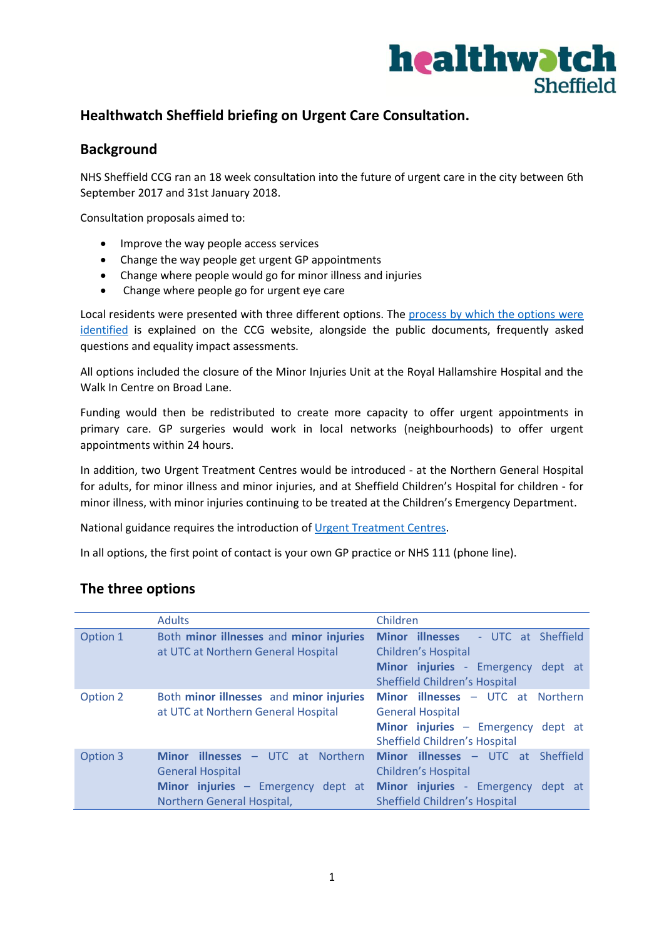

# **Healthwatch Sheffield briefing on Urgent Care Consultation.**

### **Background**

NHS Sheffield CCG ran an 18 week consultation into the future of urgent care in the city between 6th September 2017 and 31st January 2018.

Consultation proposals aimed to:

- Improve the way people access services
- Change the way people get urgent GP appointments
- Change where people would go for minor illness and injuries
- Change where people go for urgent eye care

Local residents were presented with three different options. The process by which the options were [identified](http://www.sheffieldccg.nhs.uk/Downloads/Involve%20Me/Have%20Your%20Say/Urgent%20Care%20Consultation%202017/Process%20to%20identify%20options%20to%20take%20out%20to%20public%20consultation-%20web%20version.doc) is explained on the CCG website, alongside the public documents, frequently asked questions and equality impact assessments.

All options included the closure of the Minor Injuries Unit at the Royal Hallamshire Hospital and the Walk In Centre on Broad Lane.

Funding would then be redistributed to create more capacity to offer urgent appointments in primary care. GP surgeries would work in local networks (neighbourhoods) to offer urgent appointments within 24 hours.

In addition, two Urgent Treatment Centres would be introduced - at the Northern General Hospital for adults, for minor illness and minor injuries, and at Sheffield Children's Hospital for children - for minor illness, with minor injuries continuing to be treated at the Children's Emergency Department.

National guidance requires the introduction of [Urgent Treatment Centres.](https://www.england.nhs.uk/urgent-emergency-care/urgent-treatment-centres/)

In all options, the first point of contact is your own GP practice or NHS 111 (phone line).

### **The three options**

|          | <b>Adults</b>                                                                                                                              | Children                                                                                                                                                                                  |
|----------|--------------------------------------------------------------------------------------------------------------------------------------------|-------------------------------------------------------------------------------------------------------------------------------------------------------------------------------------------|
| Option 1 | Both minor illnesses and minor injuries<br>at UTC at Northern General Hospital                                                             | <b>Minor illnesses</b><br>- UTC at Sheffield<br>Children's Hospital<br>Minor injuries - Emergency<br>dept at                                                                              |
| Option 2 | Both minor illnesses and minor injuries<br>at UTC at Northern General Hospital                                                             | <b>Sheffield Children's Hospital</b><br><b>Minor illnesses - UTC at Northern</b><br><b>General Hospital</b><br>Minor injuries - Emergency dept at<br><b>Sheffield Children's Hospital</b> |
| Option 3 | <b>Minor illnesses - UTC at Northern</b><br><b>General Hospital</b><br>Minor injuries - Emergency<br>dept at<br>Northern General Hospital, | Minor illnesses - UTC at Sheffield<br>Children's Hospital<br>Minor injuries - Emergency<br>dept at<br><b>Sheffield Children's Hospital</b>                                                |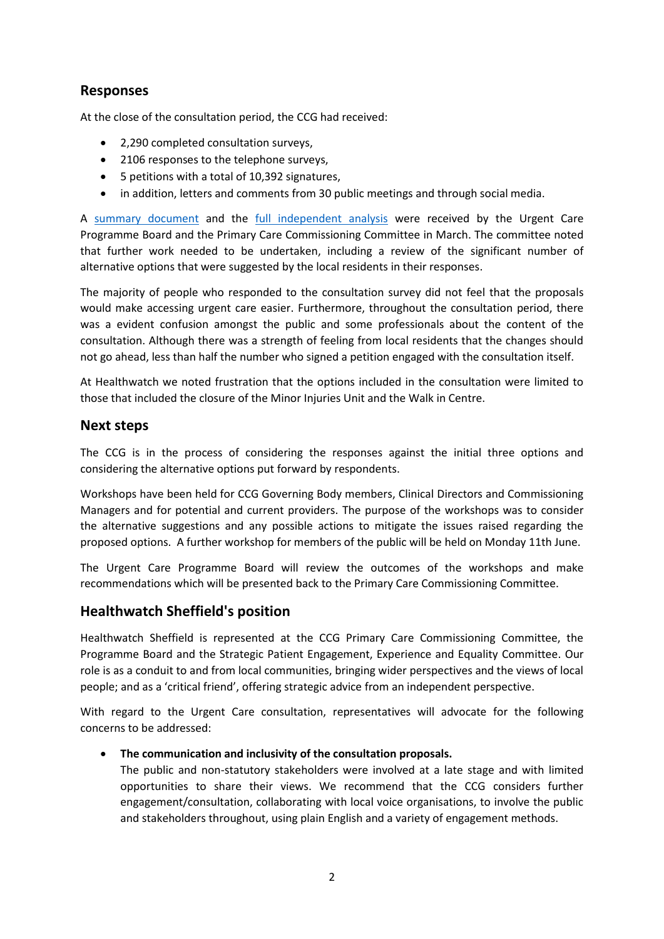## **Responses**

At the close of the consultation period, the CCG had received:

- 2,290 completed consultation surveys,
- 2106 responses to the telephone surveys,
- 5 petitions with a total of 10,392 signatures,
- in addition, letters and comments from 30 public meetings and through social media.

A [summary document](http://www.sheffieldccg.nhs.uk/Downloads/Involve%20Me/Have%20Your%20Say/Urgent%20Care%20Consultation%202017/Final%20Report/UCC%20Summary.pdf) and the [full independent analysis](http://www.sheffieldccg.nhs.uk/Downloads/Involve%20Me/Have%20Your%20Say/Urgent%20Care%20Consultation%202017/Final%20Report/UCC%20Engaging%20Communities.pdf) were received by the Urgent Care Programme Board and the Primary Care Commissioning Committee in March. The committee noted that further work needed to be undertaken, including a review of the significant number of alternative options that were suggested by the local residents in their responses.

The majority of people who responded to the consultation survey did not feel that the proposals would make accessing urgent care easier. Furthermore, throughout the consultation period, there was a evident confusion amongst the public and some professionals about the content of the consultation. Although there was a strength of feeling from local residents that the changes should not go ahead, less than half the number who signed a petition engaged with the consultation itself.

At Healthwatch we noted frustration that the options included in the consultation were limited to those that included the closure of the Minor Injuries Unit and the Walk in Centre.

### **Next steps**

The CCG is in the process of considering the responses against the initial three options and considering the alternative options put forward by respondents.

Workshops have been held for CCG Governing Body members, Clinical Directors and Commissioning Managers and for potential and current providers. The purpose of the workshops was to consider the alternative suggestions and any possible actions to mitigate the issues raised regarding the proposed options. A further workshop for members of the public will be held on Monday 11th June.

The Urgent Care Programme Board will review the outcomes of the workshops and make recommendations which will be presented back to the Primary Care Commissioning Committee.

## **Healthwatch Sheffield's position**

Healthwatch Sheffield is represented at the CCG Primary Care Commissioning Committee, the Programme Board and the Strategic Patient Engagement, Experience and Equality Committee. Our role is as a conduit to and from local communities, bringing wider perspectives and the views of local people; and as a 'critical friend', offering strategic advice from an independent perspective.

With regard to the Urgent Care consultation, representatives will advocate for the following concerns to be addressed:

### **The communication and inclusivity of the consultation proposals.**

The public and non-statutory stakeholders were involved at a late stage and with limited opportunities to share their views. We recommend that the CCG considers further engagement/consultation, collaborating with local voice organisations, to involve the public and stakeholders throughout, using plain English and a variety of engagement methods.